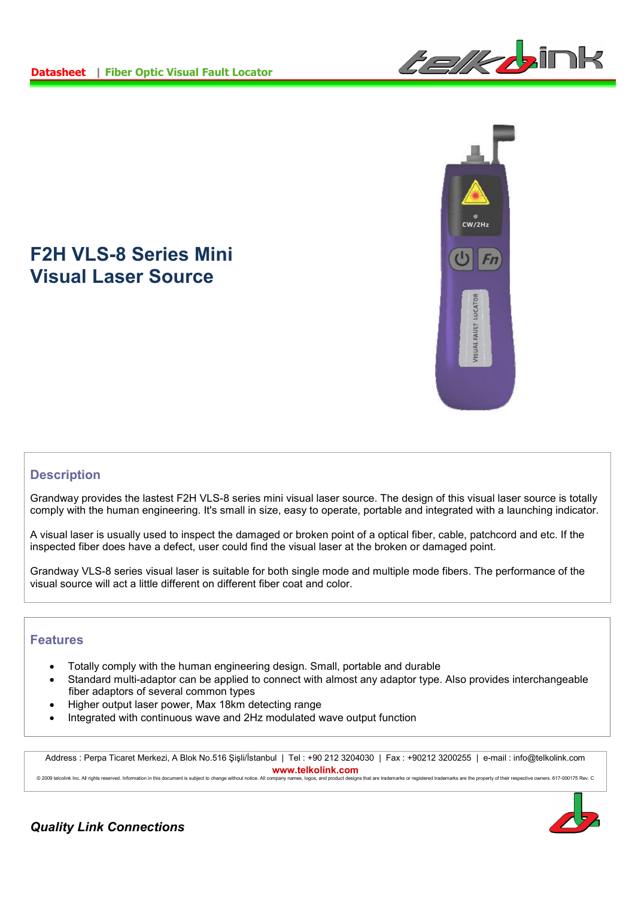



## **F2H VLS-8 Series Mini Visual Laser Source**

## **Description**

Grandway provides the lastest F2H VLS-8 series mini visual laser source. The design of this visual laser source is totally comply with the human engineering. It's small in size, easy to operate, portable and integrated with a launching indicator.

A visual laser is usually used to inspect the damaged or broken point of a optical fiber, cable, patchcord and etc. If the inspected fiber does have a defect, user could find the visual laser at the broken or damaged point.

Grandway VLS-8 series visual laser is suitable for both single mode and multiple mode fibers. The performance of the visual source will act a little different on different fiber coat and color.

## **Features**

- Totally comply with the human engineering design. Small, portable and durable
- Standard multi-adaptor can be applied to connect with almost any adaptor type. Also provides interchangeable fiber adaptors of several common types
- Higher output laser power, Max 18km detecting range
- Integrated with continuous wave and 2Hz modulated wave output function

Address : Perpa Ticaret Merkezi, A Blok No.516 Şişli/İstanbul | Tel : +90 212 3204030 | Fax : +90212 3200255 | e-mail : info@telkolink.com **www.telkolink.com** © 2009 telcolink Inc. All rights reserved. Information in this document is subject to change without notice. All company names, logos, and product designs that are trademarks or registered trademarks are the property of th